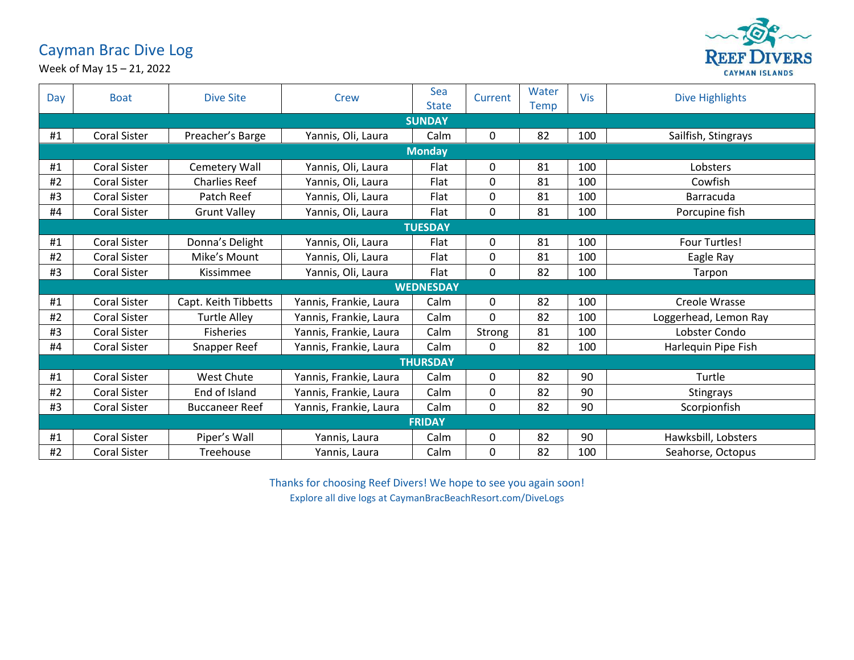## Cayman Brac Dive Log



Week of May 15 – 21, 2022

| Day              | <b>Boat</b>         | <b>Dive Site</b>      | <b>Crew</b>            | Sea<br><b>State</b> | Current | Water<br>Temp | <b>Vis</b> | <b>Dive Highlights</b> |  |  |  |
|------------------|---------------------|-----------------------|------------------------|---------------------|---------|---------------|------------|------------------------|--|--|--|
| <b>SUNDAY</b>    |                     |                       |                        |                     |         |               |            |                        |  |  |  |
| #1               | <b>Coral Sister</b> | Preacher's Barge      | Yannis, Oli, Laura     | Calm                | 0       | 82            | 100        | Sailfish, Stingrays    |  |  |  |
| <b>Monday</b>    |                     |                       |                        |                     |         |               |            |                        |  |  |  |
| #1               | <b>Coral Sister</b> | Cemetery Wall         | Yannis, Oli, Laura     | Flat                | 0       | 81            | 100        | Lobsters               |  |  |  |
| #2               | <b>Coral Sister</b> | <b>Charlies Reef</b>  | Yannis, Oli, Laura     | Flat                | 0       | 81            | 100        | Cowfish                |  |  |  |
| #3               | <b>Coral Sister</b> | Patch Reef            | Yannis, Oli, Laura     | Flat                | 0       | 81            | 100        | Barracuda              |  |  |  |
| #4               | <b>Coral Sister</b> | <b>Grunt Valley</b>   | Yannis, Oli, Laura     | Flat                | 0       | 81            | 100        | Porcupine fish         |  |  |  |
| <b>TUESDAY</b>   |                     |                       |                        |                     |         |               |            |                        |  |  |  |
| #1               | <b>Coral Sister</b> | Donna's Delight       | Yannis, Oli, Laura     | Flat                | 0       | 81            | 100        | <b>Four Turtles!</b>   |  |  |  |
| #2               | <b>Coral Sister</b> | Mike's Mount          | Yannis, Oli, Laura     | Flat                | 0       | 81            | 100        | Eagle Ray              |  |  |  |
| #3               | <b>Coral Sister</b> | Kissimmee             | Yannis, Oli, Laura     | Flat                | 0       | 82            | 100        | Tarpon                 |  |  |  |
| <b>WEDNESDAY</b> |                     |                       |                        |                     |         |               |            |                        |  |  |  |
| #1               | <b>Coral Sister</b> | Capt. Keith Tibbetts  | Yannis, Frankie, Laura | Calm                | 0       | 82            | 100        | Creole Wrasse          |  |  |  |
| #2               | <b>Coral Sister</b> | <b>Turtle Alley</b>   | Yannis, Frankie, Laura | Calm                | 0       | 82            | 100        | Loggerhead, Lemon Ray  |  |  |  |
| #3               | <b>Coral Sister</b> | <b>Fisheries</b>      | Yannis, Frankie, Laura | Calm                | Strong  | 81            | 100        | Lobster Condo          |  |  |  |
| #4               | Coral Sister        | Snapper Reef          | Yannis, Frankie, Laura | Calm                | 0       | 82            | 100        | Harlequin Pipe Fish    |  |  |  |
| <b>THURSDAY</b>  |                     |                       |                        |                     |         |               |            |                        |  |  |  |
| #1               | <b>Coral Sister</b> | West Chute            | Yannis, Frankie, Laura | Calm                | 0       | 82            | 90         | Turtle                 |  |  |  |
| #2               | <b>Coral Sister</b> | End of Island         | Yannis, Frankie, Laura | Calm                | 0       | 82            | 90         | <b>Stingrays</b>       |  |  |  |
| #3               | <b>Coral Sister</b> | <b>Buccaneer Reef</b> | Yannis, Frankie, Laura | Calm                | 0       | 82            | 90         | Scorpionfish           |  |  |  |
| <b>FRIDAY</b>    |                     |                       |                        |                     |         |               |            |                        |  |  |  |
| #1               | <b>Coral Sister</b> | Piper's Wall          | Yannis, Laura          | Calm                | 0       | 82            | 90         | Hawksbill, Lobsters    |  |  |  |
| #2               | <b>Coral Sister</b> | Treehouse             | Yannis, Laura          | Calm                | 0       | 82            | 100        | Seahorse, Octopus      |  |  |  |

Thanks for choosing Reef Divers! We hope to see you again soon! Explore all dive logs at CaymanBracBeachResort.com/DiveLogs